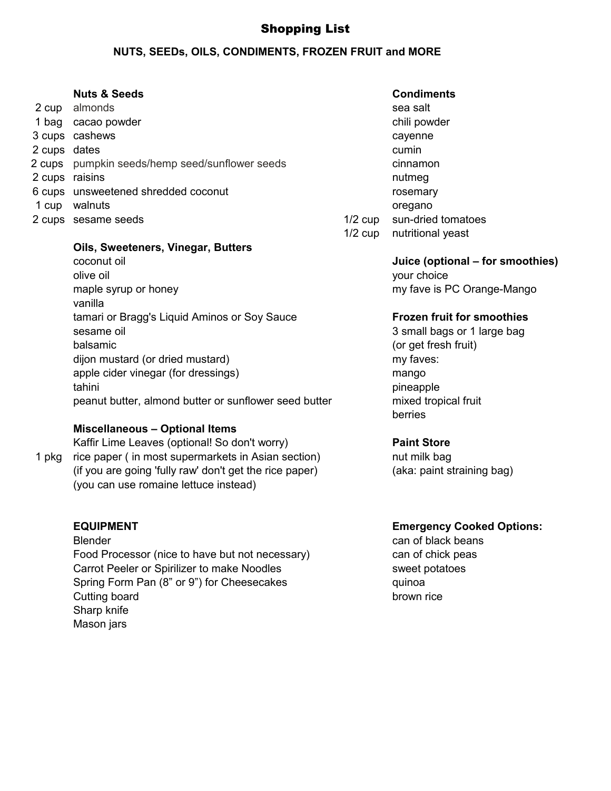# Shopping List

### **NUTS, SEEDs, OILS, CONDIMENTS, FROZEN FRUIT and MORE**

#### **Nuts & Seeds** Condiments

| 2 cup          | almonds                                        |           | sea salt                 |
|----------------|------------------------------------------------|-----------|--------------------------|
|                | 1 bag cacao powder                             |           | chili powd               |
|                | 3 cups cashews                                 |           | cayenne                  |
| 2 cups dates   |                                                |           | cumin                    |
|                | 2 cups pumpkin seeds/hemp seed/sunflower seeds |           | cinnamon                 |
| 2 cups raisins |                                                |           | nutmeg                   |
|                | 6 cups unsweetened shredded coconut            |           | rosemary                 |
| 1 cup          | walnuts                                        |           | oregano                  |
|                | 2 cups sesame seeds                            | $1/2$ cup | sun-dried                |
|                |                                                |           | $1/2$ $\sim$ nutritional |

#### **Oils, Sweeteners, Vinegar, Butters**

coconut oil **Juice (optional – for smoothies)** olive oil **blue** of the state of the state of the state of the state of the state of the state of the state of the state of the state of the state of the state of the state of the state of the state of the state of the sta maple syrup or honey maple syrup or honey my fave is PC Orange-Mango vanilla tamari or Bragg's Liquid Aminos or Soy Sauce **Frozen fruit for smoothies** sesame oil 3 small bags or 1 large bag balsamic (or get fresh fruit) dijon mustard (or dried mustard) my faves: apple cider vinegar (for dressings) mango tahini pineapple bahasa kasus kasus kasus kasus kasus kasus kasus kasus kasus kasus kasus kasus kasus kasus ka peanut butter, almond butter or sunflower seed butter mixed tropical fruit

### **Miscellaneous – Optional Items**

Kaffir Lime Leaves (optional! So don't worry) **Paint Store** 1 pkg rice paper ( in most supermarkets in Asian section) hut milk bag (if you are going 'fully raw' don't get the rice paper) (aka: paint straining bag) (you can use romaine lettuce instead)

Blender can of black beans Food Processor (nice to have but not necessary) can of chick peas Carrot Peeler or Spirilizer to make Noodles sweet potatoes Spring Form Pan (8" or 9") for Cheesecakes quinoa Cutting board brown rice Sharp knife Mason jars

# chili powder rosemary 1/2 cup sun-dried tomatoes 1/2 cup nutritional yeast

berries

### **EQUIPMENT Emergency Cooked Options:**